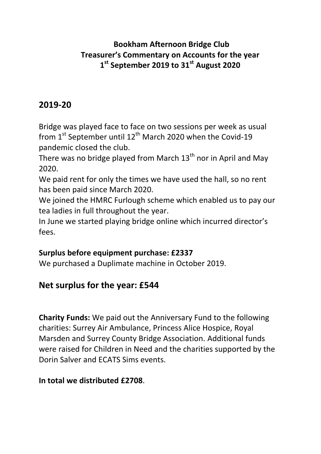### **Bookham Afternoon Bridge Club Treasurer's Commentary on Accounts for the year 1 st September 2019 to 31st August 2020**

## **2019-20**

Bridge was played face to face on two sessions per week as usual from  $1<sup>st</sup>$  September until  $12<sup>th</sup>$  March 2020 when the Covid-19 pandemic closed the club.

There was no bridge played from March  $13<sup>th</sup>$  nor in April and May 2020.

We paid rent for only the times we have used the hall, so no rent has been paid since March 2020.

We joined the HMRC Furlough scheme which enabled us to pay our tea ladies in full throughout the year.

In June we started playing bridge online which incurred director's fees.

#### **Surplus before equipment purchase: £2337**

We purchased a Duplimate machine in October 2019.

## **Net surplus for the year: £544**

**Charity Funds:** We paid out the Anniversary Fund to the following charities: Surrey Air Ambulance, Princess Alice Hospice, Royal Marsden and Surrey County Bridge Association. Additional funds were raised for Children in Need and the charities supported by the Dorin Salver and ECATS Sims events.

#### **In total we distributed £2708**.